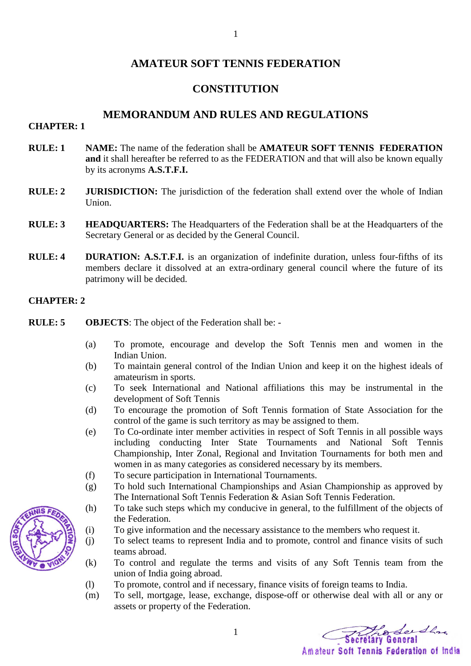## **AMATEUR SOFT TENNIS FEDERATION**

### **CONSTITUTION**

### **MEMORANDUM AND RULES AND REGULATIONS**

### **CHAPTER: 1**

- **RULE: 1 NAME:** The name of the federation shall be **AMATEUR SOFT TENNIS FEDERATION and** it shall hereafter be referred to as the FEDERATION and that will also be known equally by its acronyms **A.S.T.F.I.**
- **RULE: 2 JURISDICTION:** The jurisdiction of the federation shall extend over the whole of Indian Union.
- **RULE: 3 HEADQUARTERS:** The Headquarters of the Federation shall be at the Headquarters of the Secretary General or as decided by the General Council.
- **RULE: 4 DURATION: A.S.T.F.I.** is an organization of indefinite duration, unless four-fifths of its members declare it dissolved at an extra-ordinary general council where the future of its patrimony will be decided.

#### **CHAPTER: 2**

- **RULE: 5 OBJECTS**: The object of the Federation shall be:
	- (a) To promote, encourage and develop the Soft Tennis men and women in the Indian Union.
	- (b) To maintain general control of the Indian Union and keep it on the highest ideals of amateurism in sports.
	- (c) To seek International and National affiliations this may be instrumental in the development of Soft Tennis
	- (d) To encourage the promotion of Soft Tennis formation of State Association for the control of the game is such territory as may be assigned to them.
	- (e) To Co-ordinate inter member activities in respect of Soft Tennis in all possible ways including conducting Inter State Tournaments and National Soft Tennis Championship, Inter Zonal, Regional and Invitation Tournaments for both men and women in as many categories as considered necessary by its members.
	- (f) To secure participation in International Tournaments.
	- (g) To hold such International Championships and Asian Championship as approved by The International Soft Tennis Federation & Asian Soft Tennis Federation.
	- (h) To take such steps which my conducive in general, to the fulfillment of the objects of the Federation.
	- (i) To give information and the necessary assistance to the members who request it.
	- (j) To select teams to represent India and to promote, control and finance visits of such teams abroad.
	- (k) To control and regulate the terms and visits of any Soft Tennis team from the union of India going abroad.
	- (l) To promote, control and if necessary, finance visits of foreign teams to India.

1

(m) To sell, mortgage, lease, exchange, dispose-off or otherwise deal with all or any or assets or property of the Federation.

The Sendla

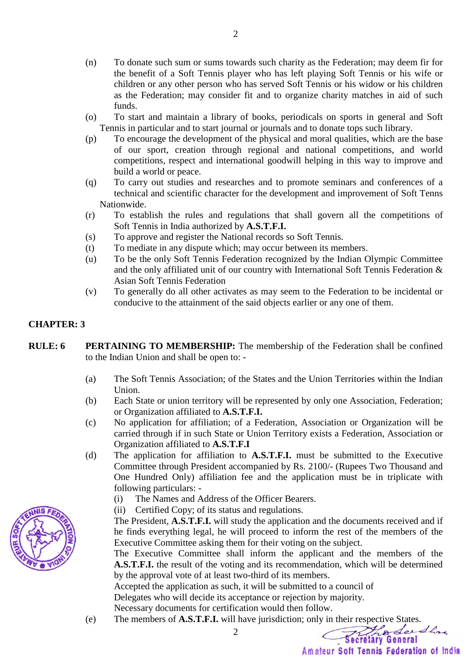- (n) To donate such sum or sums towards such charity as the Federation; may deem fir for the benefit of a Soft Tennis player who has left playing Soft Tennis or his wife or children or any other person who has served Soft Tennis or his widow or his children as the Federation; may consider fit and to organize charity matches in aid of such funds.
- (o) To start and maintain a library of books, periodicals on sports in general and Soft Tennis in particular and to start journal or journals and to donate tops such library.
- (p) To encourage the development of the physical and moral qualities, which are the base of our sport, creation through regional and national competitions, and world competitions, respect and international goodwill helping in this way to improve and build a world or peace.
- (q) To carry out studies and researches and to promote seminars and conferences of a technical and scientific character for the development and improvement of Soft Tenns Nationwide.
- (r) To establish the rules and regulations that shall govern all the competitions of Soft Tennis in India authorized by **A.S.T.F.I.**
- (s) To approve and register the National records so Soft Tennis.
- (t) To mediate in any dispute which; may occur between its members.
- (u) To be the only Soft Tennis Federation recognized by the Indian Olympic Committee and the only affiliated unit of our country with International Soft Tennis Federation & Asian Soft Tennis Federation
- (v) To generally do all other activates as may seem to the Federation to be incidental or conducive to the attainment of the said objects earlier or any one of them.

### **CHAPTER: 3**

- **RULE: 6 PERTAINING TO MEMBERSHIP:** The membership of the Federation shall be confined to the Indian Union and shall be open to: -
	- (a) The Soft Tennis Association; of the States and the Union Territories within the Indian Union.
	- (b) Each State or union territory will be represented by only one Association, Federation; or Organization affiliated to **A.S.T.F.I.**
	- (c) No application for affiliation; of a Federation, Association or Organization will be carried through if in such State or Union Territory exists a Federation, Association or Organization affiliated to **A.S.T.F.I**
	- (d) The application for affiliation to **A.S.T.F.I.** must be submitted to the Executive Committee through President accompanied by Rs. 2100/- (Rupees Two Thousand and One Hundred Only) affiliation fee and the application must be in triplicate with following particulars: -
		- (i) The Names and Address of the Officer Bearers.
		- (ii) Certified Copy; of its status and regulations.

The President, **A.S.T.F.I.** will study the application and the documents received and if he finds everything legal, he will proceed to inform the rest of the members of the Executive Committee asking them for their voting on the subject.

The Executive Committee shall inform the applicant and the members of the **A.S.T.F.I.** the result of the voting and its recommendation, which will be determined by the approval vote of at least two-third of its members.

Accepted the application as such, it will be submitted to a council of

Delegates who will decide its acceptance or rejection by majority.

2

Necessary documents for certification would then follow.

(e) The members of **A.S.T.F.I.** will have jurisdiction; only in their respective States.

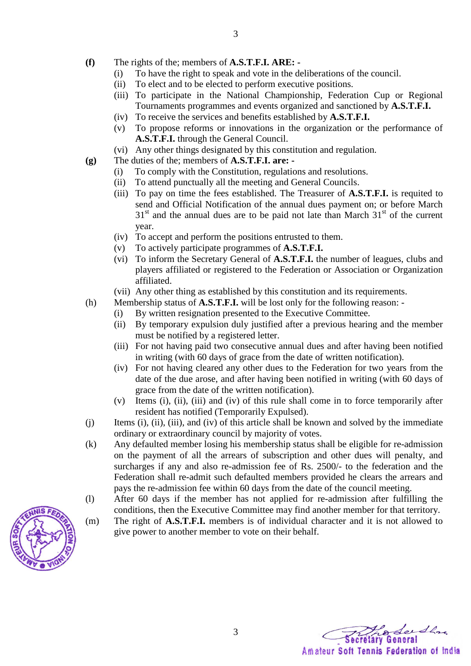- **(f)** The rights of the; members of **A.S.T.F.I. ARE:** 
	- (i) To have the right to speak and vote in the deliberations of the council.
	- (ii) To elect and to be elected to perform executive positions.
	- (iii) To participate in the National Championship, Federation Cup or Regional Tournaments programmes and events organized and sanctioned by **A.S.T.F.I.**
	- (iv) To receive the services and benefits established by **A.S.T.F.I.**
	- (v) To propose reforms or innovations in the organization or the performance of **A.S.T.F.I.** through the General Council.
	- (vi) Any other things designated by this constitution and regulation.
- **(g)** The duties of the; members of **A.S.T.F.I. are:** 
	- (i) To comply with the Constitution, regulations and resolutions.
	- (ii) To attend punctually all the meeting and General Councils.
	- (iii) To pay on time the fees established. The Treasurer of **A.S.T.F.I.** is requited to send and Official Notification of the annual dues payment on; or before March  $31<sup>st</sup>$  and the annual dues are to be paid not late than March  $31<sup>st</sup>$  of the current year.
	- (iv) To accept and perform the positions entrusted to them.
	- (v) To actively participate programmes of **A.S.T.F.I.**
	- (vi) To inform the Secretary General of **A.S.T.F.I.** the number of leagues, clubs and players affiliated or registered to the Federation or Association or Organization affiliated.
	- (vii) Any other thing as established by this constitution and its requirements.
- (h) Membership status of **A.S.T.F.I.** will be lost only for the following reason:
	- (i) By written resignation presented to the Executive Committee.
	- (ii) By temporary expulsion duly justified after a previous hearing and the member must be notified by a registered letter.
	- (iii) For not having paid two consecutive annual dues and after having been notified in writing (with 60 days of grace from the date of written notification).
	- (iv) For not having cleared any other dues to the Federation for two years from the date of the due arose, and after having been notified in writing (with 60 days of grace from the date of the written notification).
	- (v) Items (i), (ii), (iii) and (iv) of this rule shall come in to force temporarily after resident has notified (Temporarily Expulsed).
- (j) Items (i), (ii), (iii), and (iv) of this article shall be known and solved by the immediate ordinary or extraordinary council by majority of votes.
- (k) Any defaulted member losing his membership status shall be eligible for re-admission on the payment of all the arrears of subscription and other dues will penalty, and surcharges if any and also re-admission fee of Rs. 2500/- to the federation and the Federation shall re-admit such defaulted members provided he clears the arrears and pays the re-admission fee within 60 days from the date of the council meeting.
- (l) After 60 days if the member has not applied for re-admission after fulfilling the conditions, then the Executive Committee may find another member for that territory.
- (m) The right of **A.S.T.F.I.** members is of individual character and it is not allowed to give power to another member to vote on their behalf.



Seithre Amateur Soft Tennis Federation of India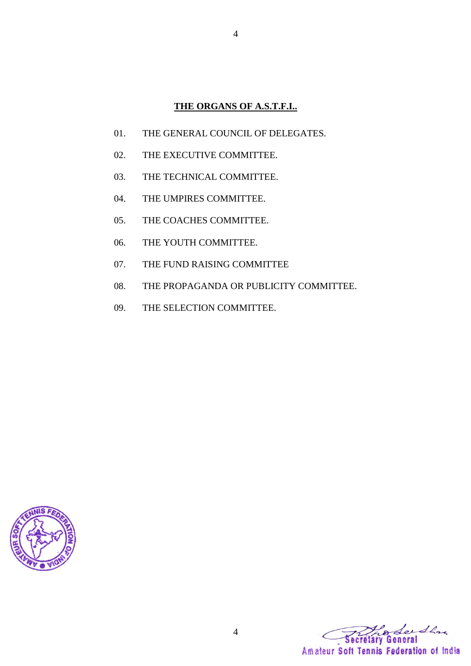# **THE ORGANS OF A.S.T.F.I..**

- 01. THE GENERAL COUNCIL OF DELEGATES.
- 02. THE EXECUTIVE COMMITTEE.
- 03. THE TECHNICAL COMMITTEE.
- 04. THE UMPIRES COMMITTEE.
- 05. THE COACHES COMMITTEE.
- 06. THE YOUTH COMMITTEE.
- 07. THE FUND RAISING COMMITTEE
- 08. THE PROPAGANDA OR PUBLICITY COMMITTEE.
- 09. THE SELECTION COMMITTEE.



Leedla Amateur Soft Tennis Federation of India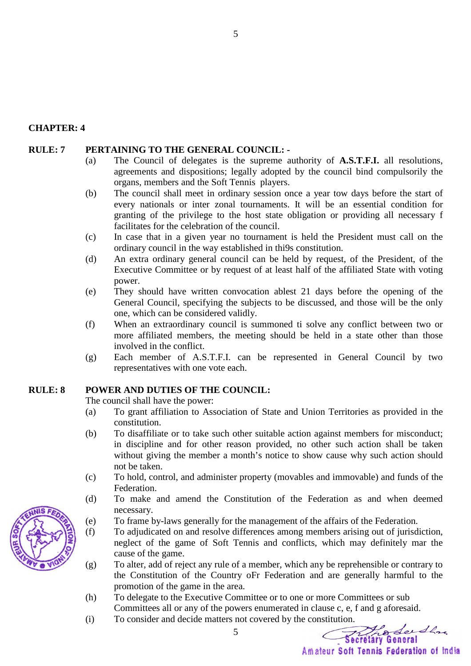#### **CHAPTER: 4**

#### **RULE: 7 PERTAINING TO THE GENERAL COUNCIL: -**

- (a) The Council of delegates is the supreme authority of **A.S.T.F.I.** all resolutions, agreements and dispositions; legally adopted by the council bind compulsorily the organs, members and the Soft Tennis players.
- (b) The council shall meet in ordinary session once a year tow days before the start of every nationals or inter zonal tournaments. It will be an essential condition for granting of the privilege to the host state obligation or providing all necessary f facilitates for the celebration of the council.
- (c) In case that in a given year no tournament is held the President must call on the ordinary council in the way established in thi9s constitution.
- (d) An extra ordinary general council can be held by request, of the President, of the Executive Committee or by request of at least half of the affiliated State with voting power.
- (e) They should have written convocation ablest 21 days before the opening of the General Council, specifying the subjects to be discussed, and those will be the only one, which can be considered validly.
- (f) When an extraordinary council is summoned ti solve any conflict between two or more affiliated members, the meeting should be held in a state other than those involved in the conflict.
- (g) Each member of A.S.T.F.I. can be represented in General Council by two representatives with one vote each.

### **RULE: 8 POWER AND DUTIES OF THE COUNCIL:**

The council shall have the power:

- (a) To grant affiliation to Association of State and Union Territories as provided in the constitution.
- (b) To disaffiliate or to take such other suitable action against members for misconduct; in discipline and for other reason provided, no other such action shall be taken without giving the member a month's notice to show cause why such action should not be taken.
- (c) To hold, control, and administer property (movables and immovable) and funds of the Federation.
- (d) To make and amend the Constitution of the Federation as and when deemed necessary.
- (e) To frame by-laws generally for the management of the affairs of the Federation.
- (f) To adjudicated on and resolve differences among members arising out of jurisdiction, neglect of the game of Soft Tennis and conflicts, which may definitely mar the cause of the game.
- (g) To alter, add of reject any rule of a member, which any be reprehensible or contrary to the Constitution of the Country oFr Federation and are generally harmful to the promotion of the game in the area.
- (h) To delegate to the Executive Committee or to one or more Committees or sub Committees all or any of the powers enumerated in clause c, e, f and g aforesaid.
- (i) To consider and decide matters not covered by the constitution.

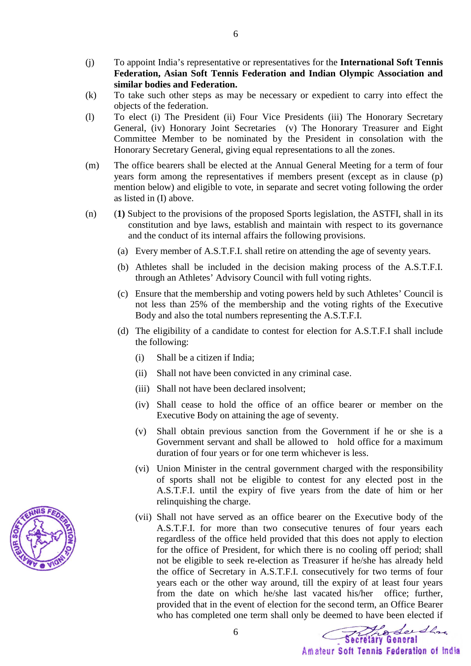- (j) To appoint India's representative or representatives for the **International Soft Tennis Federation, Asian Soft Tennis Federation and Indian Olympic Association and similar bodies and Federation.**
- (k) To take such other steps as may be necessary or expedient to carry into effect the objects of the federation.
- (l) To elect (i) The President (ii) Four Vice Presidents (iii) The Honorary Secretary General, (iv) Honorary Joint Secretaries (v) The Honorary Treasurer and Eight Committee Member to be nominated by the President in consolation with the Honorary Secretary General, giving equal representations to all the zones.
- (m) The office bearers shall be elected at the Annual General Meeting for a term of four years form among the representatives if members present (except as in clause (p) mention below) and eligible to vote, in separate and secret voting following the order as listed in (I) above.
- (n) (**1)** Subject to the provisions of the proposed Sports legislation, the ASTFI, shall in its constitution and bye laws, establish and maintain with respect to its governance and the conduct of its internal affairs the following provisions.
	- (a) Every member of A.S.T.F.I. shall retire on attending the age of seventy years.
	- (b) Athletes shall be included in the decision making process of the A.S.T.F.I. through an Athletes' Advisory Council with full voting rights.
	- (c) Ensure that the membership and voting powers held by such Athletes' Council is not less than 25% of the membership and the voting rights of the Executive Body and also the total numbers representing the A.S.T.F.I.
	- (d) The eligibility of a candidate to contest for election for A.S.T.F.I shall include the following:
		- (i) Shall be a citizen if India;
		- (ii) Shall not have been convicted in any criminal case.

6

- (iii) Shall not have been declared insolvent;
- (iv) Shall cease to hold the office of an office bearer or member on the Executive Body on attaining the age of seventy.
- (v) Shall obtain previous sanction from the Government if he or she is a Government servant and shall be allowed to hold office for a maximum duration of four years or for one term whichever is less.
- (vi) Union Minister in the central government charged with the responsibility of sports shall not be eligible to contest for any elected post in the A.S.T.F.I. until the expiry of five years from the date of him or her relinquishing the charge.
- (vii) Shall not have served as an office bearer on the Executive body of the A.S.T.F.I. for more than two consecutive tenures of four years each regardless of the office held provided that this does not apply to election for the office of President, for which there is no cooling off period; shall not be eligible to seek re-election as Treasurer if he/she has already held the office of Secretary in A.S.T.F.I. consecutively for two terms of four years each or the other way around, till the expiry of at least four years from the date on which he/she last vacated his/her office; further, provided that in the event of election for the second term, an Office Bearer who has completed one term shall only be deemed to have been elected if

Thosels Secretary General

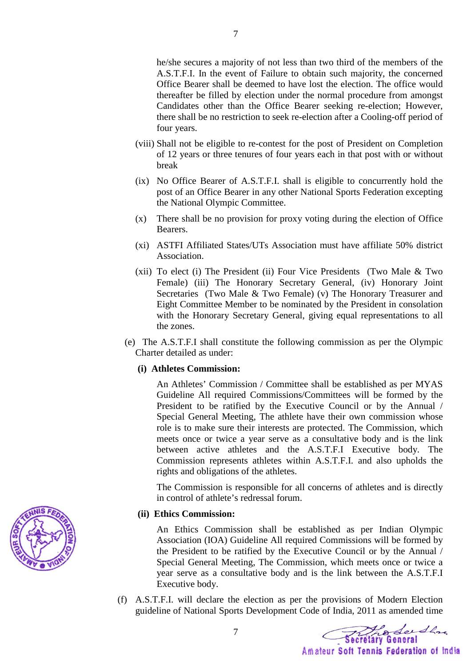he/she secures a majority of not less than two third of the members of the A.S.T.F.I. In the event of Failure to obtain such majority, the concerned Office Bearer shall be deemed to have lost the election. The office would thereafter be filled by election under the normal procedure from amongst Candidates other than the Office Bearer seeking re-election; However, there shall be no restriction to seek re-election after a Cooling-off period of four years.

- (viii) Shall not be eligible to re-contest for the post of President on Completion of 12 years or three tenures of four years each in that post with or without break
- (ix) No Office Bearer of A.S.T.F.I. shall is eligible to concurrently hold the post of an Office Bearer in any other National Sports Federation excepting the National Olympic Committee.
- (x) There shall be no provision for proxy voting during the election of Office Bearers.
- (xi) ASTFI Affiliated States/UTs Association must have affiliate 50% district Association.
- (xii) To elect (i) The President (ii) Four Vice Presidents (Two Male & Two Female) (iii) The Honorary Secretary General, (iv) Honorary Joint Secretaries (Two Male & Two Female) (v) The Honorary Treasurer and Eight Committee Member to be nominated by the President in consolation with the Honorary Secretary General, giving equal representations to all the zones.
- (e) The A.S.T.F.I shall constitute the following commission as per the Olympic Charter detailed as under:

### **(i) Athletes Commission:**

An Athletes' Commission / Committee shall be established as per MYAS Guideline All required Commissions/Committees will be formed by the President to be ratified by the Executive Council or by the Annual / Special General Meeting, The athlete have their own commission whose role is to make sure their interests are protected. The Commission, which meets once or twice a year serve as a consultative body and is the link between active athletes and the A.S.T.F.I Executive body. The Commission represents athletes within A.S.T.F.I. and also upholds the rights and obligations of the athletes.

The Commission is responsible for all concerns of athletes and is directly in control of athlete's redressal forum.

### **(ii) Ethics Commission:**

An Ethics Commission shall be established as per Indian Olympic Association (IOA) Guideline All required Commissions will be formed by the President to be ratified by the Executive Council or by the Annual / Special General Meeting, The Commission, which meets once or twice a year serve as a consultative body and is the link between the A.S.T.F.I Executive body.

(f) A.S.T.F.I. will declare the election as per the provisions of Modern Election guideline of National Sports Development Code of India, 2011 as amended time

Prode Ser Share Amateur Soft Tennis Federation of India

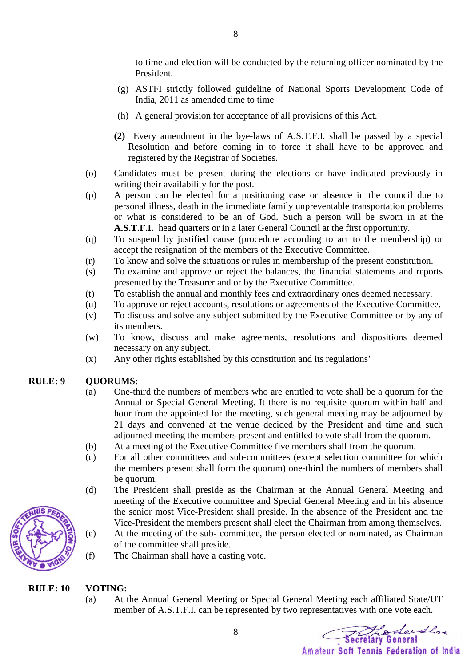to time and election will be conducted by the returning officer nominated by the President.

- (g) ASTFI strictly followed guideline of National Sports Development Code of India, 2011 as amended time to time
- (h) A general provision for acceptance of all provisions of this Act.
- **(2)** Every amendment in the bye-laws of A.S.T.F.I. shall be passed by a special Resolution and before coming in to force it shall have to be approved and registered by the Registrar of Societies.
- (o) Candidates must be present during the elections or have indicated previously in writing their availability for the post.
- (p) A person can be elected for a positioning case or absence in the council due to personal illness, death in the immediate family unpreventable transportation problems or what is considered to be an of God. Such a person will be sworn in at the **A.S.T.F.I.** head quarters or in a later General Council at the first opportunity.
- (q) To suspend by justified cause (procedure according to act to the membership) or accept the resignation of the members of the Executive Committee.
- (r) To know and solve the situations or rules in membership of the present constitution.
- (s) To examine and approve or reject the balances, the financial statements and reports presented by the Treasurer and or by the Executive Committee.
- (t) To establish the annual and monthly fees and extraordinary ones deemed necessary.
- (u) To approve or reject accounts, resolutions or agreements of the Executive Committee.
- (v) To discuss and solve any subject submitted by the Executive Committee or by any of its members.
- (w) To know, discuss and make agreements, resolutions and dispositions deemed necessary on any subject.
- (x) Any other rights established by this constitution and its regulations'

### **RULE: 9 QUORUMS:**

- (a) One-third the numbers of members who are entitled to vote shall be a quorum for the Annual or Special General Meeting. It there is no requisite quorum within half and hour from the appointed for the meeting, such general meeting may be adjourned by 21 days and convened at the venue decided by the President and time and such adjourned meeting the members present and entitled to vote shall from the quorum.
- (b) At a meeting of the Executive Committee five members shall from the quorum.
- (c) For all other committees and sub-committees (except selection committee for which the members present shall form the quorum) one-third the numbers of members shall be quorum.
- (d) The President shall preside as the Chairman at the Annual General Meeting and meeting of the Executive committee and Special General Meeting and in his absence the senior most Vice-President shall preside. In the absence of the President and the Vice-President the members present shall elect the Chairman from among themselves.
- (e) At the meeting of the sub- committee, the person elected or nominated, as Chairman of the committee shall preside.
- (f) The Chairman shall have a casting vote.

### **RULE: 10 VOTING:**

(a) At the Annual General Meeting or Special General Meeting each affiliated State/UT member of A.S.T.F.I. can be represented by two representatives with one vote each.

hodersha Amateur Soft Tennis Federation of India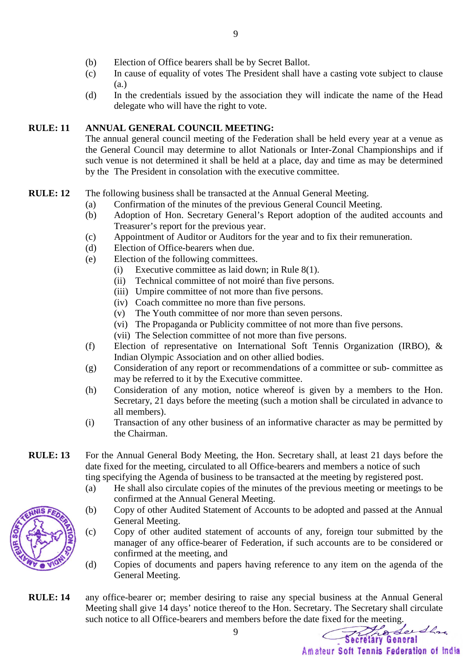- (b) Election of Office bearers shall be by Secret Ballot.
- (c) In cause of equality of votes The President shall have a casting vote subject to clause (a.)
- (d) In the credentials issued by the association they will indicate the name of the Head delegate who will have the right to vote.

### **RULE: 11 ANNUAL GENERAL COUNCIL MEETING:**

 The annual general council meeting of the Federation shall be held every year at a venue as the General Council may determine to allot Nationals or Inter-Zonal Championships and if such venue is not determined it shall be held at a place, day and time as may be determined by the The President in consolation with the executive committee.

### **RULE: 12** The following business shall be transacted at the Annual General Meeting.

- (a) Confirmation of the minutes of the previous General Council Meeting.
- (b) Adoption of Hon. Secretary General's Report adoption of the audited accounts and Treasurer's report for the previous year.
- (c) Appointment of Auditor or Auditors for the year and to fix their remuneration.
- (d) Election of Office-bearers when due.
- (e) Election of the following committees.
	- (i) Executive committee as laid down; in Rule 8(1).
	- (ii) Technical committee of not moiré than five persons.
	- (iii) Umpire committee of not more than five persons.
	- (iv) Coach committee no more than five persons.
	- (v) The Youth committee of nor more than seven persons.
	- (vi) The Propaganda or Publicity committee of not more than five persons.
	- (vii) The Selection committee of not more than five persons.
- (f) Election of representative on International Soft Tennis Organization (IRBO), & Indian Olympic Association and on other allied bodies.
- (g) Consideration of any report or recommendations of a committee or sub- committee as may be referred to it by the Executive committee.
- (h) Consideration of any motion, notice whereof is given by a members to the Hon. Secretary, 21 days before the meeting (such a motion shall be circulated in advance to all members).
- (i) Transaction of any other business of an informative character as may be permitted by the Chairman.
- **RULE: 13** For the Annual General Body Meeting, the Hon. Secretary shall, at least 21 days before the date fixed for the meeting, circulated to all Office-bearers and members a notice of such ting specifying the Agenda of business to be transacted at the meeting by registered post.
	- (a) He shall also circulate copies of the minutes of the previous meeting or meetings to be confirmed at the Annual General Meeting.
	- (b) Copy of other Audited Statement of Accounts to be adopted and passed at the Annual General Meeting.
	- (c) Copy of other audited statement of accounts of any, foreign tour submitted by the manager of any office-bearer of Federation, if such accounts are to be considered or confirmed at the meeting, and
	- (d) Copies of documents and papers having reference to any item on the agenda of the General Meeting.
- **RULE: 14** any office-bearer or; member desiring to raise any special business at the Annual General Meeting shall give 14 days' notice thereof to the Hon. Secretary. The Secretary shall circulate such notice to all Office-bearers and members before the date fixed for the meeting.

Production Amateur Soft Tennis Federation of India

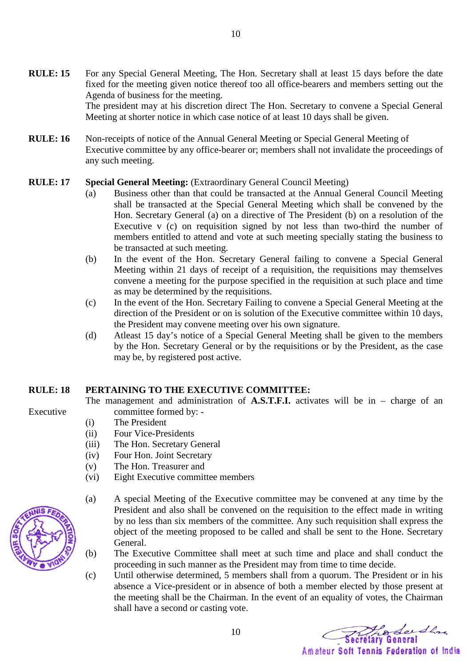- **RULE: 15** For any Special General Meeting, The Hon. Secretary shall at least 15 days before the date fixed for the meeting given notice thereof too all office-bearers and members setting out the Agenda of business for the meeting. The president may at his discretion direct The Hon. Secretary to convene a Special General Meeting at shorter notice in which case notice of at least 10 days shall be given.
- **RULE: 16** Non-receipts of notice of the Annual General Meeting or Special General Meeting of Executive committee by any office-bearer or; members shall not invalidate the proceedings of any such meeting.

### **RULE: 17 Special General Meeting:** (Extraordinary General Council Meeting)

- (a) Business other than that could be transacted at the Annual General Council Meeting shall be transacted at the Special General Meeting which shall be convened by the Hon. Secretary General (a) on a directive of The President (b) on a resolution of the Executive v (c) on requisition signed by not less than two-third the number of members entitled to attend and vote at such meeting specially stating the business to be transacted at such meeting.
- (b) In the event of the Hon. Secretary General failing to convene a Special General Meeting within 21 days of receipt of a requisition, the requisitions may themselves convene a meeting for the purpose specified in the requisition at such place and time as may be determined by the requisitions.
- (c) In the event of the Hon. Secretary Failing to convene a Special General Meeting at the direction of the President or on is solution of the Executive committee within 10 days, the President may convene meeting over his own signature.
- (d) Atleast 15 day's notice of a Special General Meeting shall be given to the members by the Hon. Secretary General or by the requisitions or by the President, as the case may be, by registered post active.

The management and administration of **A.S.T.F.I.** activates will be in – charge of an

### **RULE: 18 PERTAINING TO THE EXECUTIVE COMMITTEE:**

- Executive committee formed by: - (i) The President
	- (ii) Four Vice-Presidents
	- (iii) The Hon. Secretary General
	- (iv) Four Hon. Joint Secretary
	- (v) The Hon. Treasurer and
	- (vi) Eight Executive committee members
	- (a) A special Meeting of the Executive committee may be convened at any time by the President and also shall be convened on the requisition to the effect made in writing by no less than six members of the committee. Any such requisition shall express the object of the meeting proposed to be called and shall be sent to the Hone. Secretary General.
	- (b) The Executive Committee shall meet at such time and place and shall conduct the proceeding in such manner as the President may from time to time decide.
	- (c) Until otherwise determined, 5 members shall from a quorum. The President or in his absence a Vice-president or in absence of both a member elected by those present at the meeting shall be the Chairman. In the event of an equality of votes, the Chairman shall have a second or casting vote.

The Sendla Amateur Soft Tennis Federation of India

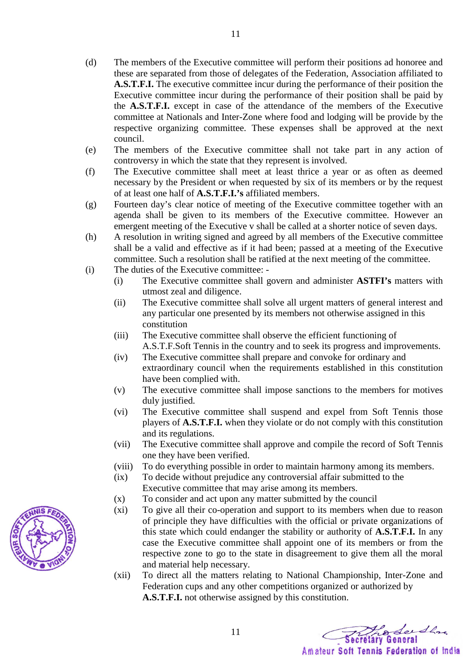- (d) The members of the Executive committee will perform their positions ad honoree and these are separated from those of delegates of the Federation, Association affiliated to **A.S.T.F.I.** The executive committee incur during the performance of their position the Executive committee incur during the performance of their position shall be paid by the **A.S.T.F.I.** except in case of the attendance of the members of the Executive committee at Nationals and Inter-Zone where food and lodging will be provide by the respective organizing committee. These expenses shall be approved at the next council.
- (e) The members of the Executive committee shall not take part in any action of controversy in which the state that they represent is involved.
- (f) The Executive committee shall meet at least thrice a year or as often as deemed necessary by the President or when requested by six of its members or by the request of at least one half of **A.S.T.F.I.'s** affiliated members.
- (g) Fourteen day's clear notice of meeting of the Executive committee together with an agenda shall be given to its members of the Executive committee. However an emergent meeting of the Executive v shall be called at a shorter notice of seven days.
- (h) A resolution in writing signed and agreed by all members of the Executive committee shall be a valid and effective as if it had been; passed at a meeting of the Executive committee. Such a resolution shall be ratified at the next meeting of the committee.
- (i) The duties of the Executive committee:
	- (i) The Executive committee shall govern and administer **ASTFI's** matters with utmost zeal and diligence.
	- (ii) The Executive committee shall solve all urgent matters of general interest and any particular one presented by its members not otherwise assigned in this constitution
	- (iii) The Executive committee shall observe the efficient functioning of A.S.T.F.Soft Tennis in the country and to seek its progress and improvements.
	- (iv) The Executive committee shall prepare and convoke for ordinary and extraordinary council when the requirements established in this constitution have been complied with.
	- (v) The executive committee shall impose sanctions to the members for motives duly justified.
	- (vi) The Executive committee shall suspend and expel from Soft Tennis those players of **A.S.T.F.I.** when they violate or do not comply with this constitution and its regulations.
	- (vii) The Executive committee shall approve and compile the record of Soft Tennis one they have been verified.
	- (viii) To do everything possible in order to maintain harmony among its members.
	- (ix) To decide without prejudice any controversial affair submitted to the Executive committee that may arise among its members.
	- (x) To consider and act upon any matter submitted by the council

- (xi) To give all their co-operation and support to its members when due to reason of principle they have difficulties with the official or private organizations of this state which could endanger the stability or authority of **A.S.T.F.I.** In any case the Executive committee shall appoint one of its members or from the respective zone to go to the state in disagreement to give them all the moral and material help necessary.
- (xii) To direct all the matters relating to National Championship, Inter-Zone and Federation cups and any other competitions organized or authorized by **A.S.T.F.I.** not otherwise assigned by this constitution.

hodersha Amateur Soft Tennis Federation of India

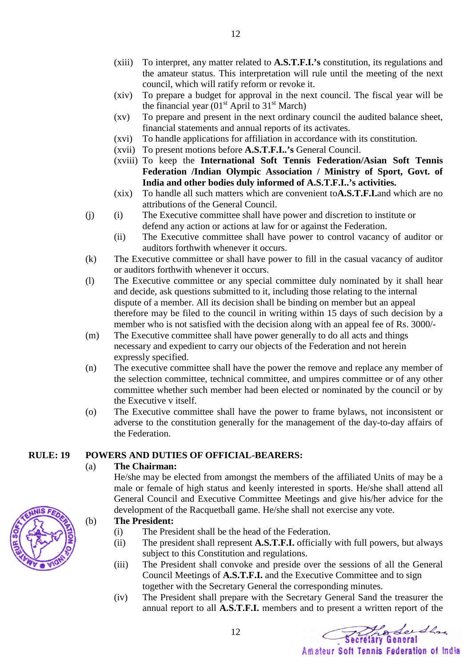- (xiii) To interpret, any matter related to **A.S.T.F.I.'s** constitution, its regulations and the amateur status. This interpretation will rule until the meeting of the next council, which will ratify reform or revoke it.
- (xiv) To prepare a budget for approval in the next council. The fiscal year will be the financial year  $(01<sup>st</sup>$  April to  $31<sup>st</sup>$  March)
- (xv) To prepare and present in the next ordinary council the audited balance sheet, financial statements and annual reports of its activates.
- (xvi) To handle applications for affiliation in accordance with its constitution.
- (xvii) To present motions before **A.S.T.F.I..'s** General Council.
- (xviii) To keep the **International Soft Tennis Federation/Asian Soft Tennis Federation /Indian Olympic Association / Ministry of Sport, Govt. of India and other bodies duly informed of A.S.T.F.I..'s activities.**
- (xix) To handle all such matters which are convenient to**A.S.T.F.I.**and which are no attributions of the General Council.
- (j) (i) The Executive committee shall have power and discretion to institute or defend any action or actions at law for or against the Federation.
	- (ii) The Executive committee shall have power to control vacancy of auditor or auditors forthwith whenever it occurs.
- (k) The Executive committee or shall have power to fill in the casual vacancy of auditor or auditors forthwith whenever it occurs.
- (l) The Executive committee or any special committee duly nominated by it shall hear and decide, ask questions submitted to it, including those relating to the internal dispute of a member. All its decision shall be binding on member but an appeal therefore may be filed to the council in writing within 15 days of such decision by a member who is not satisfied with the decision along with an appeal fee of Rs. 3000/-
- (m) The Executive committee shall have power generally to do all acts and things necessary and expedient to carry our objects of the Federation and not herein expressly specified.
- (n) The executive committee shall have the power the remove and replace any member of the selection committee, technical committee, and umpires committee or of any other committee whether such member had been elected or nominated by the council or by the Executive v itself.
- (o) The Executive committee shall have the power to frame bylaws, not inconsistent or adverse to the constitution generally for the management of the day-to-day affairs of the Federation.

### **RULE: 19 POWERS AND DUTIES OF OFFICIAL-BEARERS:**

### (a) **The Chairman:**

 He/she may be elected from amongst the members of the affiliated Units of may be a male or female of high status and keenly interested in sports. He/she shall attend all General Council and Executive Committee Meetings and give his/her advice for the development of the Racquetball game. He/she shall not exercise any vote.

### (b) **The President:**

(i) The President shall be the head of the Federation.

12

- (ii) The president shall represent **A.S.T.F.I.** officially with full powers, but always subject to this Constitution and regulations.
- (iii) The President shall convoke and preside over the sessions of all the General Council Meetings of **A.S.T.F.I.** and the Executive Committee and to sign together with the Secretary General the corresponding minutes.
- (iv) The President shall prepare with the Secretary General Sand the treasurer the annual report to all **A.S.T.F.I.** members and to present a written report of the

Prode de da

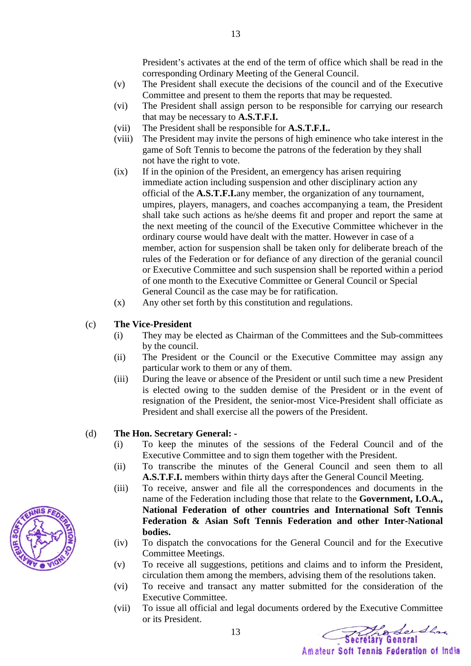President's activates at the end of the term of office which shall be read in the corresponding Ordinary Meeting of the General Council.

- (v) The President shall execute the decisions of the council and of the Executive Committee and present to them the reports that may be requested.
- (vi) The President shall assign person to be responsible for carrying our research that may be necessary to **A.S.T.F.I.**
- (vii) The President shall be responsible for **A.S.T.F.I..**
- (viii) The President may invite the persons of high eminence who take interest in the game of Soft Tennis to become the patrons of the federation by they shall not have the right to vote.
- (ix) If in the opinion of the President, an emergency has arisen requiring immediate action including suspension and other disciplinary action any official of the **A.S.T.F.I.**any member, the organization of any tournament, umpires, players, managers, and coaches accompanying a team, the President shall take such actions as he/she deems fit and proper and report the same at the next meeting of the council of the Executive Committee whichever in the ordinary course would have dealt with the matter. However in case of a member, action for suspension shall be taken only for deliberate breach of the rules of the Federation or for defiance of any direction of the geranial council or Executive Committee and such suspension shall be reported within a period of one month to the Executive Committee or General Council or Special General Council as the case may be for ratification.
- (x) Any other set forth by this constitution and regulations.
- (c) **The Vice-President**
	- (i) They may be elected as Chairman of the Committees and the Sub-committees by the council.
	- (ii) The President or the Council or the Executive Committee may assign any particular work to them or any of them.
	- (iii) During the leave or absence of the President or until such time a new President is elected owing to the sudden demise of the President or in the event of resignation of the President, the senior-most Vice-President shall officiate as President and shall exercise all the powers of the President.

### (d) **The Hon. Secretary General: -**

- (i) To keep the minutes of the sessions of the Federal Council and of the Executive Committee and to sign them together with the President.
- (ii) To transcribe the minutes of the General Council and seen them to all **A.S.T.F.I.** members within thirty days after the General Council Meeting.
- (iii) To receive, answer and file all the correspondences and documents in the name of the Federation including those that relate to the **Government, I.O.A., National Federation of other countries and International Soft Tennis Federation & Asian Soft Tennis Federation and other Inter-National bodies.**
- (iv) To dispatch the convocations for the General Council and for the Executive Committee Meetings.
- (v) To receive all suggestions, petitions and claims and to inform the President, circulation them among the members, advising them of the resolutions taken.
- (vi) To receive and transact any matter submitted for the consideration of the Executive Committee.
- (vii) To issue all official and legal documents ordered by the Executive Committee or its President.

13

Prodection

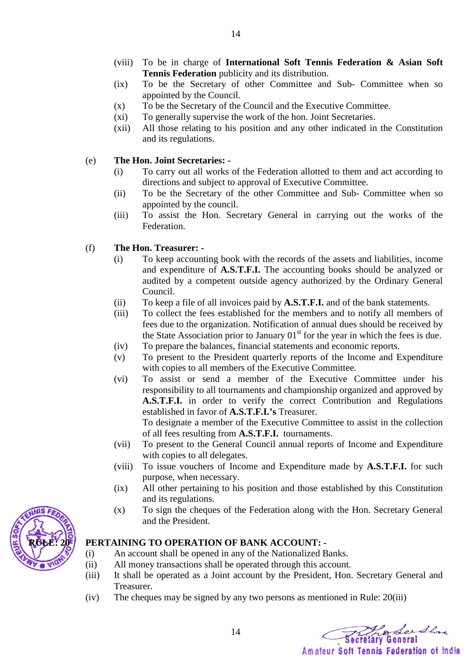- (viii) To be in charge of **International Soft Tennis Federation & Asian Soft Tennis Federation** publicity and its distribution.
- (ix) To be the Secretary of other Committee and Sub- Committee when so appointed by the Council.
- (x) To be the Secretary of the Council and the Executive Committee.
- (xi) To generally supervise the work of the hon. Joint Secretaries.
- (xii) All those relating to his position and any other indicated in the Constitution and its regulations.

## (e) **The Hon. Joint Secretaries: -**

- (i) To carry out all works of the Federation allotted to them and act according to directions and subject to approval of Executive Committee.
- (ii) To be the Secretary of the other Committee and Sub- Committee when so appointed by the council.
- (iii) To assist the Hon. Secretary General in carrying out the works of the Federation.

## (f) **The Hon. Treasurer: -**

- (i) To keep accounting book with the records of the assets and liabilities, income and expenditure of **A.S.T.F.I.** The accounting books should be analyzed or audited by a competent outside agency authorized by the Ordinary General Council.
- (ii) To keep a file of all invoices paid by **A.S.T.F.I.** and of the bank statements.
- (iii) To collect the fees established for the members and to notify all members of fees due to the organization. Notification of annual dues should be received by the State Association prior to January  $01<sup>st</sup>$  for the year in which the fees is due.
- (iv) To prepare the balances, financial statements and economic reports.
- (v) To present to the President quarterly reports of the Income and Expenditure with copies to all members of the Executive Committee.
- (vi) To assist or send a member of the Executive Committee under his responsibility to all tournaments and championship organized and approved by **A.S.T.F.I.** in order to verify the correct Contribution and Regulations established in favor of **A.S.T.F.I.'s** Treasurer.

To designate a member of the Executive Committee to assist in the collection of all fees resulting from **A.S.T.F.I.** tournaments.

- (vii) To present to the General Council annual reports of Income and Expenditure with copies to all delegates.
- (viii) To issue vouchers of Income and Expenditure made by **A.S.T.F.I.** for such purpose, when necessary.
- (ix) All other pertaining to his position and those established by this Constitution and its regulations.
- (x) To sign the cheques of the Federation along with the Hon. Secretary General and the President.

## **PERTAINING TO OPERATION OF BANK ACCOUNT: -**

- (i) An account shall be opened in any of the Nationalized Banks.
- (ii) All money transactions shall be operated through this account.
- (iii) It shall be operated as a Joint account by the President, Hon. Secretary General and Treasurer.
- (iv) The cheques may be signed by any two persons as mentioned in Rule: 20(iii)

14

hodersha

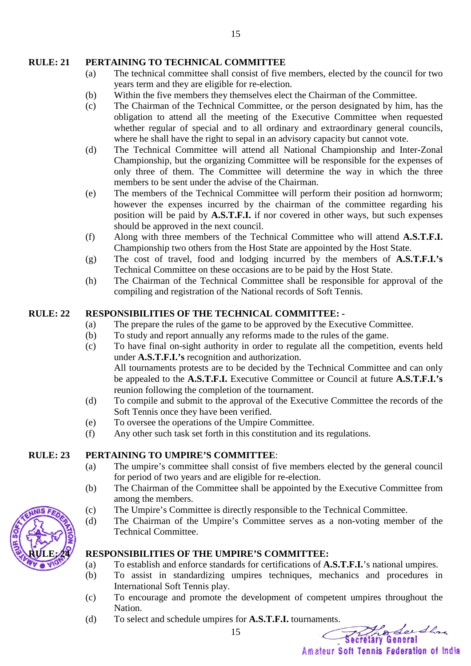### **RULE: 21 PERTAINING TO TECHNICAL COMMITTEE**

- (a) The technical committee shall consist of five members, elected by the council for two years term and they are eligible for re-election.
- (b) Within the five members they themselves elect the Chairman of the Committee.
- (c) The Chairman of the Technical Committee, or the person designated by him, has the obligation to attend all the meeting of the Executive Committee when requested whether regular of special and to all ordinary and extraordinary general councils, where he shall have the right to sepal in an advisory capacity but cannot vote.
- (d) The Technical Committee will attend all National Championship and Inter-Zonal Championship, but the organizing Committee will be responsible for the expenses of only three of them. The Committee will determine the way in which the three members to be sent under the advise of the Chairman.
- (e) The members of the Technical Committee will perform their position ad hornworm; however the expenses incurred by the chairman of the committee regarding his position will be paid by **A.S.T.F.I.** if nor covered in other ways, but such expenses should be approved in the next council.
- (f) Along with three members of the Technical Committee who will attend **A.S.T.F.I.**  Championship two others from the Host State are appointed by the Host State.
- (g) The cost of travel, food and lodging incurred by the members of **A.S.T.F.I.'s**  Technical Committee on these occasions are to be paid by the Host State.
- (h) The Chairman of the Technical Committee shall be responsible for approval of the compiling and registration of the National records of Soft Tennis.

### **RULE: 22 RESPONSIBILITIES OF THE TECHNICAL COMMITTEE: -**

- (a) The prepare the rules of the game to be approved by the Executive Committee.
- (b) To study and report annually any reforms made to the rules of the game.
- (c) To have final on-sight authority in order to regulate all the competition, events held under **A.S.T.F.I.'s** recognition and authorization. All tournaments protests are to be decided by the Technical Committee and can only be appealed to the **A.S.T.F.I.** Executive Committee or Council at future **A.S.T.F.I.'s** reunion following the completion of the tournament.
- (d) To compile and submit to the approval of the Executive Committee the records of the Soft Tennis once they have been verified.
- (e) To oversee the operations of the Umpire Committee.
- (f) Any other such task set forth in this constitution and its regulations.

### **RULE: 23 PERTAINING TO UMPIRE'S COMMITTEE**:

- (a) The umpire's committee shall consist of five members elected by the general council for period of two years and are eligible for re-election.
- (b) The Chairman of the Committee shall be appointed by the Executive Committee from among the members.
- (c) The Umpire's Committee is directly responsible to the Technical Committee.
- (d) The Chairman of the Umpire's Committee serves as a non-voting member of the Technical Committee.

### RESPONSIBILITIES OF THE UMPIRE'S COMMITTEE:

- (a) To establish and enforce standards for certifications of **A.S.T.F.I.**'s national umpires.
- (b) To assist in standardizing umpires techniques, mechanics and procedures in International Soft Tennis play.
- (c) To encourage and promote the development of competent umpires throughout the Nation.
- (d) To select and schedule umpires for **A.S.T.F.I.** tournaments.

The See Show Amateur Soft Tennis Federation of India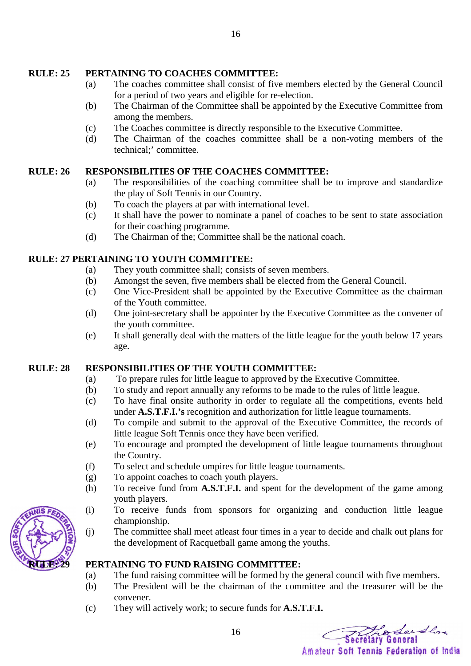### **RULE: 25 PERTAINING TO COACHES COMMITTEE:**

- (a) The coaches committee shall consist of five members elected by the General Council for a period of two years and eligible for re-election.
- (b) The Chairman of the Committee shall be appointed by the Executive Committee from among the members.
- (c) The Coaches committee is directly responsible to the Executive Committee.
- (d) The Chairman of the coaches committee shall be a non-voting members of the technical;' committee.

### **RULE: 26 RESPONSIBILITIES OF THE COACHES COMMITTEE:**

- (a) The responsibilities of the coaching committee shall be to improve and standardize the play of Soft Tennis in our Country.
- (b) To coach the players at par with international level.
- (c) It shall have the power to nominate a panel of coaches to be sent to state association for their coaching programme.
- (d) The Chairman of the; Committee shall be the national coach.

### **RULE: 27 PERTAINING TO YOUTH COMMITTEE:**

- (a) They youth committee shall; consists of seven members.
- (b) Amongst the seven, five members shall be elected from the General Council.
- (c) One Vice-President shall be appointed by the Executive Committee as the chairman of the Youth committee.
- (d) One joint-secretary shall be appointer by the Executive Committee as the convener of the youth committee.
- (e) It shall generally deal with the matters of the little league for the youth below 17 years age.

### **RULE: 28 RESPONSIBILITIES OF THE YOUTH COMMITTEE:**

- (a) To prepare rules for little league to approved by the Executive Committee.
- (b) To study and report annually any reforms to be made to the rules of little league.
- (c) To have final onsite authority in order to regulate all the competitions, events held under **A.S.T.F.I.'s** recognition and authorization for little league tournaments.
- (d) To compile and submit to the approval of the Executive Committee, the records of little league Soft Tennis once they have been verified.
- (e) To encourage and prompted the development of little league tournaments throughout the Country.
- (f) To select and schedule umpires for little league tournaments.
- (g) To appoint coaches to coach youth players.
- (h) To receive fund from **A.S.T.F.I.** and spent for the development of the game among youth players.
- (i) To receive funds from sponsors for organizing and conduction little league championship.
- (j) The committee shall meet atleast four times in a year to decide and chalk out plans for the development of Racquetball game among the youths.



- (a) The fund raising committee will be formed by the general council with five members.
- (b) The President will be the chairman of the committee and the treasurer will be the convener.
- (c) They will actively work; to secure funds for **A.S.T.F.I.**

The See Show Amateur Soft Tennis Federation of India

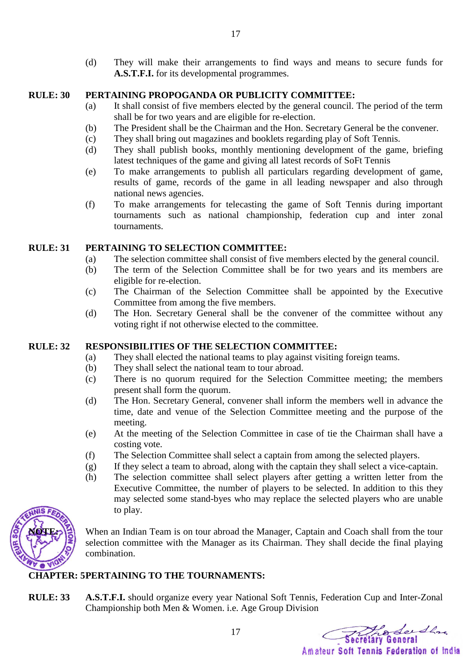(d) They will make their arrangements to find ways and means to secure funds for **A.S.T.F.I.** for its developmental programmes.

### **RULE: 30 PERTAINING PROPOGANDA OR PUBLICITY COMMITTEE:**

- (a) It shall consist of five members elected by the general council. The period of the term shall be for two years and are eligible for re-election.
- (b) The President shall be the Chairman and the Hon. Secretary General be the convener.
- (c) They shall bring out magazines and booklets regarding play of Soft Tennis.
- (d) They shall publish books, monthly mentioning development of the game, briefing latest techniques of the game and giving all latest records of SoFt Tennis
- (e) To make arrangements to publish all particulars regarding development of game, results of game, records of the game in all leading newspaper and also through national news agencies.
- (f) To make arrangements for telecasting the game of Soft Tennis during important tournaments such as national championship, federation cup and inter zonal tournaments.

### **RULE: 31 PERTAINING TO SELECTION COMMITTEE:**

- (a) The selection committee shall consist of five members elected by the general council.
- (b) The term of the Selection Committee shall be for two years and its members are eligible for re-election.
- (c) The Chairman of the Selection Committee shall be appointed by the Executive Committee from among the five members.
- (d) The Hon. Secretary General shall be the convener of the committee without any voting right if not otherwise elected to the committee.

## **RULE: 32 RESPONSIBILITIES OF THE SELECTION COMMITTEE:**

- (a) They shall elected the national teams to play against visiting foreign teams.
- (b) They shall select the national team to tour abroad.
- (c) There is no quorum required for the Selection Committee meeting; the members present shall form the quorum.
- (d) The Hon. Secretary General, convener shall inform the members well in advance the time, date and venue of the Selection Committee meeting and the purpose of the meeting.
- (e) At the meeting of the Selection Committee in case of tie the Chairman shall have a costing vote.
- (f) The Selection Committee shall select a captain from among the selected players.
- (g) If they select a team to abroad, along with the captain they shall select a vice-captain.
- (h) The selection committee shall select players after getting a written letter from the Executive Committee, the number of players to be selected. In addition to this they may selected some stand-byes who may replace the selected players who are unable to play.



When an Indian Team is on tour abroad the Manager, Captain and Coach shall from the tour selection committee with the Manager as its Chairman. They shall decide the final playing combination.

## **CHAPTER: 5 PERTAINING TO THE TOURNAMENTS:**

**RULE: 33 A.S.T.F.I.** should organize every year National Soft Tennis, Federation Cup and Inter-Zonal Championship both Men & Women. i.e. Age Group Division

Prodec the Amateur Soft Tennis Federation of India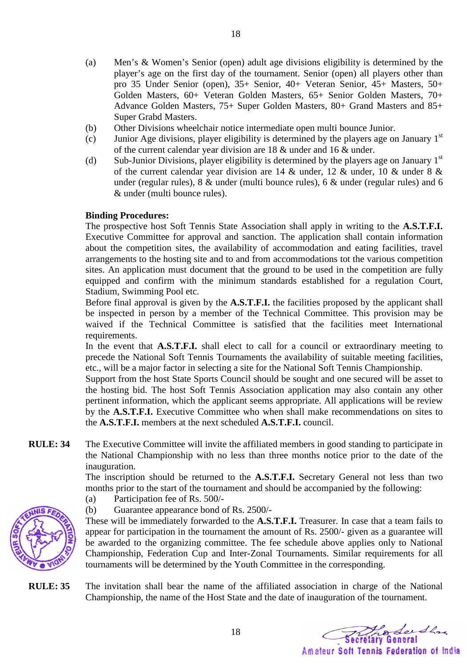- (a) Men's & Women's Senior (open) adult age divisions eligibility is determined by the player's age on the first day of the tournament. Senior (open) all players other than pro 35 Under Senior (open), 35+ Senior, 40+ Veteran Senior, 45+ Masters, 50+ Golden Masters, 60+ Veteran Golden Masters, 65+ Senior Golden Masters, 70+ Advance Golden Masters, 75+ Super Golden Masters, 80+ Grand Masters and 85+ Super Grabd Masters.
- (b) Other Divisions wheelchair notice intermediate open multi bounce Junior.

18

- (c) Junior Age divisions, player eligibility is determined by the players age on January  $1<sup>st</sup>$ of the current calendar year division are 18 & under and 16 & under.
- (d) Sub-Junior Divisions, player eligibility is determined by the players age on January  $1<sup>st</sup>$ of the current calendar year division are 14 & under, 12 & under, 10 & under 8 & under (regular rules), 8 & under (multi bounce rules), 6 & under (regular rules) and 6 & under (multi bounce rules).

### **Binding Procedures:**

The prospective host Soft Tennis State Association shall apply in writing to the **A.S.T.F.I.**  Executive Committee for approval and sanction. The application shall contain information about the competition sites, the availability of accommodation and eating facilities, travel arrangements to the hosting site and to and from accommodations tot the various competition sites. An application must document that the ground to be used in the competition are fully equipped and confirm with the minimum standards established for a regulation Court, Stadium, Swimming Pool etc.

Before final approval is given by the **A.S.T.F.I.** the facilities proposed by the applicant shall be inspected in person by a member of the Technical Committee. This provision may be waived if the Technical Committee is satisfied that the facilities meet International requirements.

In the event that **A.S.T.F.I.** shall elect to call for a council or extraordinary meeting to precede the National Soft Tennis Tournaments the availability of suitable meeting facilities, etc., will be a major factor in selecting a site for the National Soft Tennis Championship.

Support from the host State Sports Council should be sought and one secured will be asset to the hosting bid. The host Soft Tennis Association application may also contain any other pertinent information, which the applicant seems appropriate. All applications will be review by the **A.S.T.F.I.** Executive Committee who when shall make recommendations on sites to the **A.S.T.F.I.** members at the next scheduled **A.S.T.F.I.** council.

**RULE: 34** The Executive Committee will invite the affiliated members in good standing to participate in the National Championship with no less than three months notice prior to the date of the inauguration.

> The inscription should be returned to the **A.S.T.F.I.** Secretary General not less than two months prior to the start of the tournament and should be accompanied by the following:

- (a) Participation fee of Rs. 500/-
- (b) Guarantee appearance bond of Rs. 2500/-

These will be immediately forwarded to the **A.S.T.F.I.** Treasurer. In case that a team fails to appear for participation in the tournament the amount of Rs. 2500/- given as a guarantee will be awarded to the organizing committee. The fee schedule above applies only to National Championship, Federation Cup and Inter-Zonal Tournaments. Similar requirements for all tournaments will be determined by the Youth Committee in the corresponding.

**RULE: 35** The invitation shall bear the name of the affiliated association in charge of the National Championship, the name of the Host State and the date of inauguration of the tournament.

hodersha Amateur Soft Tennis Federation of India

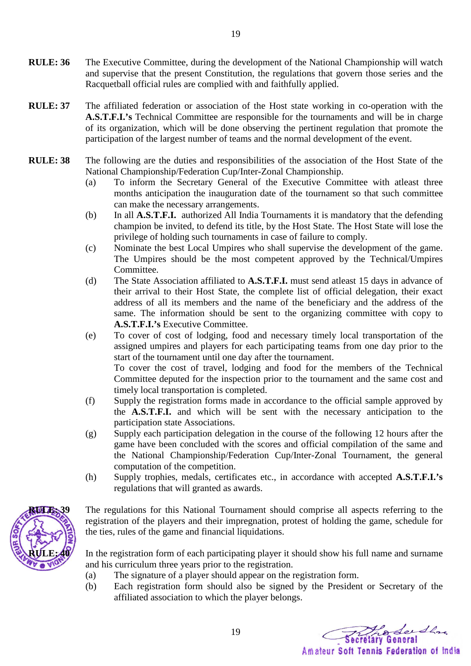- **RULE: 36** The Executive Committee, during the development of the National Championship will watch and supervise that the present Constitution, the regulations that govern those series and the Racquetball official rules are complied with and faithfully applied.
- **RULE: 37** The affiliated federation or association of the Host state working in co-operation with the **A.S.T.F.I.'s** Technical Committee are responsible for the tournaments and will be in charge of its organization, which will be done observing the pertinent regulation that promote the participation of the largest number of teams and the normal development of the event.
- **RULE: 38** The following are the duties and responsibilities of the association of the Host State of the National Championship/Federation Cup/Inter-Zonal Championship.
	- (a) To inform the Secretary General of the Executive Committee with atleast three months anticipation the inauguration date of the tournament so that such committee can make the necessary arrangements.
	- (b) In all **A.S.T.F.I.** authorized All India Tournaments it is mandatory that the defending champion be invited, to defend its title, by the Host State. The Host State will lose the privilege of holding such tournaments in case of failure to comply.
	- (c) Nominate the best Local Umpires who shall supervise the development of the game. The Umpires should be the most competent approved by the Technical/Umpires Committee.
	- (d) The State Association affiliated to **A.S.T.F.I.** must send atleast 15 days in advance of their arrival to their Host State, the complete list of official delegation, their exact address of all its members and the name of the beneficiary and the address of the same. The information should be sent to the organizing committee with copy to **A.S.T.F.I.'s** Executive Committee.
	- (e) To cover of cost of lodging, food and necessary timely local transportation of the assigned umpires and players for each participating teams from one day prior to the start of the tournament until one day after the tournament. To cover the cost of travel, lodging and food for the members of the Technical

Committee deputed for the inspection prior to the tournament and the same cost and timely local transportation is completed.

- (f) Supply the registration forms made in accordance to the official sample approved by the **A.S.T.F.I.** and which will be sent with the necessary anticipation to the participation state Associations.
- (g) Supply each participation delegation in the course of the following 12 hours after the game have been concluded with the scores and official compilation of the same and the National Championship/Federation Cup/Inter-Zonal Tournament, the general computation of the competition.
- (h) Supply trophies, medals, certificates etc., in accordance with accepted **A.S.T.F.I.'s** regulations that will granted as awards.



The regulations for this National Tournament should comprise all aspects referring to the registration of the players and their impregnation, protest of holding the game, schedule for the ties, rules of the game and financial liquidations.

In the registration form of each participating player it should show his full name and surname and his curriculum three years prior to the registration.

(a) The signature of a player should appear on the registration form.

19

(b) Each registration form should also be signed by the President or Secretary of the affiliated association to which the player belongs.

hodersha Amateur Soft Tennis Federation of India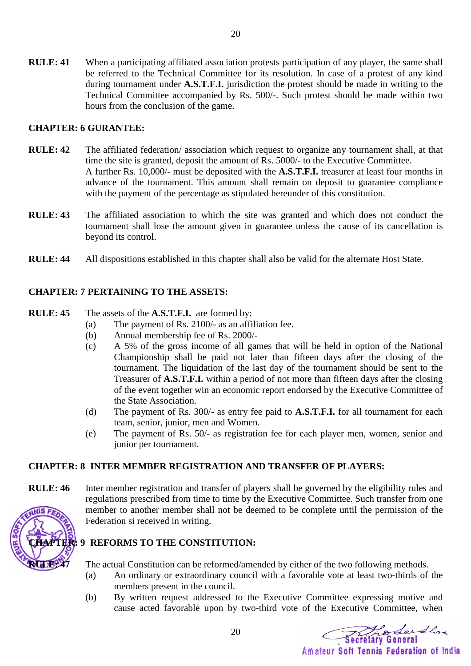**RULE: 41** When a participating affiliated association protests participation of any player, the same shall be referred to the Technical Committee for its resolution. In case of a protest of any kind during tournament under **A.S.T.F.I.** jurisdiction the protest should be made in writing to the Technical Committee accompanied by Rs. 500/-. Such protest should be made within two hours from the conclusion of the game.

### **CHAPTER: 6 GURANTEE:**

- **RULE: 42** The affiliated federation/ association which request to organize any tournament shall, at that time the site is granted, deposit the amount of Rs. 5000/- to the Executive Committee. A further Rs. 10,000/- must be deposited with the **A.S.T.F.I.** treasurer at least four months in advance of the tournament. This amount shall remain on deposit to guarantee compliance with the payment of the percentage as stipulated hereunder of this constitution.
- **RULE: 43** The affiliated association to which the site was granted and which does not conduct the tournament shall lose the amount given in guarantee unless the cause of its cancellation is beyond its control.
- **RULE: 44** All dispositions established in this chapter shall also be valid for the alternate Host State.

### **CHAPTER: 7 PERTAINING TO THE ASSETS:**

### **RULE: 45** The assets of the **A.S.T.F.I.** are formed by:

- (a) The payment of Rs. 2100/- as an affiliation fee.
- (b) Annual membership fee of Rs. 2000/-
- (c) A 5% of the gross income of all games that will be held in option of the National Championship shall be paid not later than fifteen days after the closing of the tournament. The liquidation of the last day of the tournament should be sent to the Treasurer of **A.S.T.F.I.** within a period of not more than fifteen days after the closing of the event together win an economic report endorsed by the Executive Committee of the State Association.
- (d) The payment of Rs. 300/- as entry fee paid to **A.S.T.F.I.** for all tournament for each team, senior, junior, men and Women.
- (e) The payment of Rs. 50/- as registration fee for each player men, women, senior and junior per tournament.

### **CHAPTER: 8 INTER MEMBER REGISTRATION AND TRANSFER OF PLAYERS:**

**RULE: 46** Inter member registration and transfer of players shall be governed by the eligibility rules and regulations prescribed from time to time by the Executive Committee. Such transfer from one member to another member shall not be deemed to be complete until the permission of the Federation si received in writing.

### **TER: 9 REFORMS TO THE CONSTITUTION:**

**RULE: 47** The actual Constitution can be reformed/amended by either of the two following methods.

20

- (a) An ordinary or extraordinary council with a favorable vote at least two-thirds of the members present in the council.
- (b) By written request addressed to the Executive Committee expressing motive and cause acted favorable upon by two-third vote of the Executive Committee, when

Productor